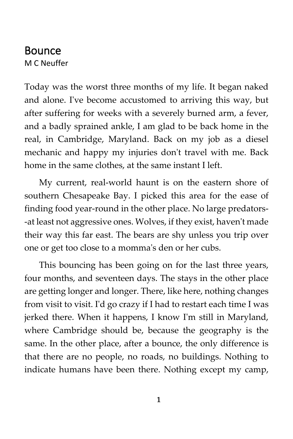## Bounce M C Neuffer

Today was the worst three months of my life. It began naked and alone. I've become accustomed to arriving this way, but after suffering for weeks with a severely burned arm, a fever, and a badly sprained ankle, I am glad to be back home in the real, in Cambridge, Maryland. Back on my job as a diesel mechanic and happy my injuries don't travel with me. Back home in the same clothes, at the same instant I left.

My current, real-world haunt is on the eastern shore of southern Chesapeake Bay. I picked this area for the ease of finding food year-round in the other place. No large predators- -at least not aggressive ones. Wolves, if they exist, haven't made their way this far east. The bears are shy unless you trip over one or get too close to a momma's den or her cubs.

This bouncing has been going on for the last three years, four months, and seventeen days. The stays in the other place are getting longer and longer. There, like here, nothing changes from visit to visit. I'd go crazy if I had to restart each time I was jerked there. When it happens, I know I'm still in Maryland, where Cambridge should be, because the geography is the same. In the other place, after a bounce, the only difference is that there are no people, no roads, no buildings. Nothing to indicate humans have been there. Nothing except my camp,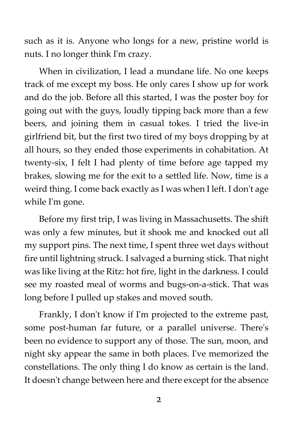such as it is. Anyone who longs for a new, pristine world is nuts. I no longer think I'm crazy.

When in civilization, I lead a mundane life. No one keeps track of me except my boss. He only cares I show up for work and do the job. Before all this started, I was the poster boy for going out with the guys, loudly tipping back more than a few beers, and joining them in casual tokes. I tried the live-in girlfriend bit, but the first two tired of my boys dropping by at all hours, so they ended those experiments in cohabitation. At twenty-six, I felt I had plenty of time before age tapped my brakes, slowing me for the exit to a settled life. Now, time is a weird thing. I come back exactly as I was when I left. I don't age while I'm gone.

Before my first trip, I was living in Massachusetts. The shift was only a few minutes, but it shook me and knocked out all my support pins. The next time, I spent three wet days without fire until lightning struck. I salvaged a burning stick. That night was like living at the Ritz: hot fire, light in the darkness. I could see my roasted meal of worms and bugs-on-a-stick. That was long before I pulled up stakes and moved south.

Frankly, I don't know if I'm projected to the extreme past, some post-human far future, or a parallel universe. There's been no evidence to support any of those. The sun, moon, and night sky appear the same in both places. I've memorized the constellations. The only thing I do know as certain is the land. It doesn't change between here and there except for the absence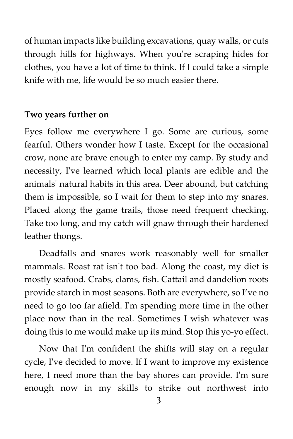of human impacts like building excavations, quay walls, or cuts through hills for highways. When you're scraping hides for clothes, you have a lot of time to think. If I could take a simple knife with me, life would be so much easier there.

## **Two years further on**

Eyes follow me everywhere I go. Some are curious, some fearful. Others wonder how I taste. Except for the occasional crow, none are brave enough to enter my camp. By study and necessity, I've learned which local plants are edible and the animals' natural habits in this area. Deer abound, but catching them is impossible, so I wait for them to step into my snares. Placed along the game trails, those need frequent checking. Take too long, and my catch will gnaw through their hardened leather thongs.

Deadfalls and snares work reasonably well for smaller mammals. Roast rat isn't too bad. Along the coast, my diet is mostly seafood. Crabs, clams, fish. Cattail and dandelion roots provide starch in most seasons. Both are everywhere, so I've no need to go too far afield. I'm spending more time in the other place now than in the real. Sometimes I wish whatever was doing this to me would make up its mind. Stop this yo-yo effect.

Now that I'm confident the shifts will stay on a regular cycle, I've decided to move. If I want to improve my existence here, I need more than the bay shores can provide. I'm sure enough now in my skills to strike out northwest into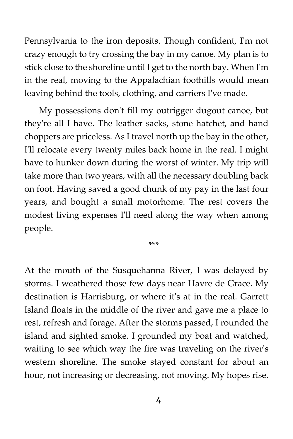Pennsylvania to the iron deposits. Though confident, I'm not crazy enough to try crossing the bay in my canoe. My plan is to stick close to the shoreline until I get to the north bay. When I'm in the real, moving to the Appalachian foothills would mean leaving behind the tools, clothing, and carriers I've made.

My possessions don't fill my outrigger dugout canoe, but they're all I have. The leather sacks, stone hatchet, and hand choppers are priceless. As I travel north up the bay in the other, I'll relocate every twenty miles back home in the real. I might have to hunker down during the worst of winter. My trip will take more than two years, with all the necessary doubling back on foot. Having saved a good chunk of my pay in the last four years, and bought a small motorhome. The rest covers the modest living expenses I'll need along the way when among people.

\*\*\*

At the mouth of the Susquehanna River, I was delayed by storms. I weathered those few days near Havre de Grace. My destination is Harrisburg, or where it's at in the real. Garrett Island floats in the middle of the river and gave me a place to rest, refresh and forage. After the storms passed, I rounded the island and sighted smoke. I grounded my boat and watched, waiting to see which way the fire was traveling on the river's western shoreline. The smoke stayed constant for about an hour, not increasing or decreasing, not moving. My hopes rise.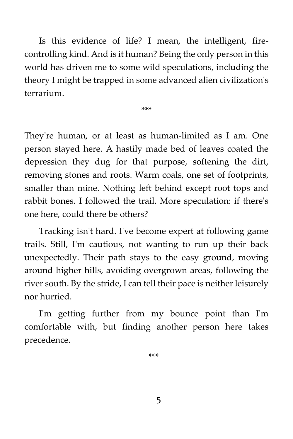Is this evidence of life? I mean, the intelligent, firecontrolling kind. And is it human? Being the only person in this world has driven me to some wild speculations, including the theory I might be trapped in some advanced alien civilization's terrarium.

\*\*\*

They're human, or at least as human-limited as I am. One person stayed here. A hastily made bed of leaves coated the depression they dug for that purpose, softening the dirt, removing stones and roots. Warm coals, one set of footprints, smaller than mine. Nothing left behind except root tops and rabbit bones. I followed the trail. More speculation: if there's one here, could there be others?

Tracking isn't hard. I've become expert at following game trails. Still, I'm cautious, not wanting to run up their back unexpectedly. Their path stays to the easy ground, moving around higher hills, avoiding overgrown areas, following the river south. By the stride, I can tell their pace is neither leisurely nor hurried.

I'm getting further from my bounce point than I'm comfortable with, but finding another person here takes precedence.

\*\*\*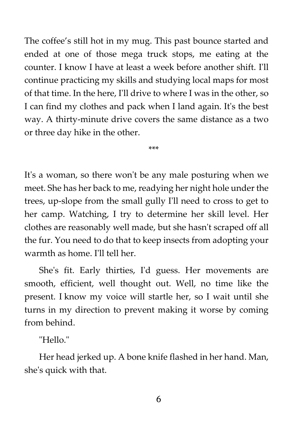The coffee's still hot in my mug. This past bounce started and ended at one of those mega truck stops, me eating at the counter. I know I have at least a week before another shift. I'll continue practicing my skills and studying local maps for most of that time. In the here, I'll drive to where I was in the other, so I can find my clothes and pack when I land again. It's the best way. A thirty-minute drive covers the same distance as a two or three day hike in the other.

\*\*\*

It's a woman, so there won't be any male posturing when we meet. She has her back to me, readying her night hole under the trees, up-slope from the small gully I'll need to cross to get to her camp. Watching, I try to determine her skill level. Her clothes are reasonably well made, but she hasn't scraped off all the fur. You need to do that to keep insects from adopting your warmth as home. I'll tell her.

She's fit. Early thirties, I'd guess. Her movements are smooth, efficient, well thought out. Well, no time like the present. I know my voice will startle her, so I wait until she turns in my direction to prevent making it worse by coming from behind.

"Hello."

Her head jerked up. A bone knife flashed in her hand. Man, she's quick with that.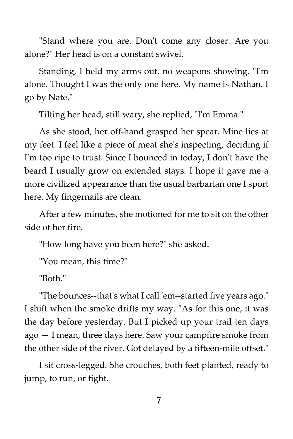"Stand where you are. Don't come any closer. Are you alone?" Her head is on a constant swivel.

Standing, I held my arms out, no weapons showing. "I'm alone. Thought I was the only one here. My name is Nathan. I go by Nate."

Tilting her head, still wary, she replied, "I'm Emma."

As she stood, her off-hand grasped her spear. Mine lies at my feet. I feel like a piece of meat she's inspecting, deciding if I'm too ripe to trust. Since I bounced in today, I don't have the beard I usually grow on extended stays. I hope it gave me a more civilized appearance than the usual barbarian one I sport here. My fingernails are clean.

After a few minutes, she motioned for me to sit on the other side of her fire.

"How long have you been here?" she asked.

"You mean, this time?"

"Both."

"The bounces--that's what I call 'em--started five years ago." I shift when the smoke drifts my way. "As for this one, it was the day before yesterday. But I picked up your trail ten days ago — I mean, three days here. Saw your campfire smoke from the other side of the river. Got delayed by a fifteen-mile offset."

I sit cross-legged. She crouches, both feet planted, ready to jump, to run, or fight.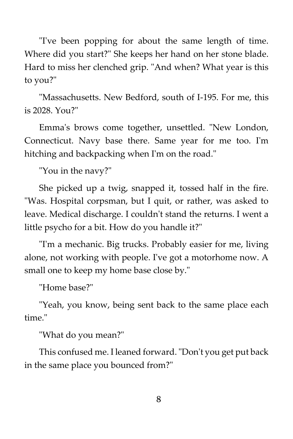"I've been popping for about the same length of time. Where did you start?" She keeps her hand on her stone blade. Hard to miss her clenched grip. "And when? What year is this to you?"

"Massachusetts. New Bedford, south of I-195. For me, this is 2028. You?"

Emma's brows come together, unsettled. "New London, Connecticut. Navy base there. Same year for me too. I'm hitching and backpacking when I'm on the road."

"You in the navy?"

She picked up a twig, snapped it, tossed half in the fire. "Was. Hospital corpsman, but I quit, or rather, was asked to leave. Medical discharge. I couldn't stand the returns. I went a little psycho for a bit. How do you handle it?"

"I'm a mechanic. Big trucks. Probably easier for me, living alone, not working with people. I've got a motorhome now. A small one to keep my home base close by."

"Home base?"

"Yeah, you know, being sent back to the same place each time."

"What do you mean?"

This confused me. I leaned forward. "Don't you get put back in the same place you bounced from?"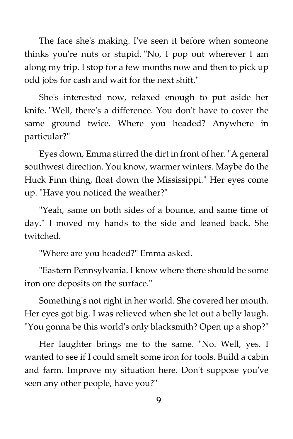The face she's making. I've seen it before when someone thinks you're nuts or stupid. "No, I pop out wherever I am along my trip. I stop for a few months now and then to pick up odd jobs for cash and wait for the next shift."

She's interested now, relaxed enough to put aside her knife. "Well, there's a difference. You don't have to cover the same ground twice. Where you headed? Anywhere in particular?"

Eyes down, Emma stirred the dirt in front of her. "A general southwest direction. You know, warmer winters. Maybe do the Huck Finn thing, float down the Mississippi." Her eyes come up. "Have you noticed the weather?"

"Yeah, same on both sides of a bounce, and same time of day." I moved my hands to the side and leaned back. She twitched.

"Where are you headed?" Emma asked.

"Eastern Pennsylvania. I know where there should be some iron ore deposits on the surface."

Something's not right in her world. She covered her mouth. Her eyes got big. I was relieved when she let out a belly laugh. "You gonna be this world's only blacksmith? Open up a shop?"

Her laughter brings me to the same. "No. Well, yes. I wanted to see if I could smelt some iron for tools. Build a cabin and farm. Improve my situation here. Don't suppose you've seen any other people, have you?"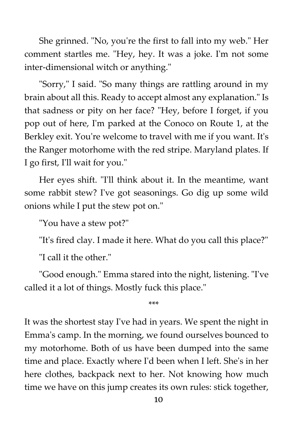She grinned. "No, you're the first to fall into my web." Her comment startles me. "Hey, hey. It was a joke. I'm not some inter-dimensional witch or anything."

"Sorry," I said. "So many things are rattling around in my brain about all this. Ready to accept almost any explanation." Is that sadness or pity on her face? "Hey, before I forget, if you pop out of here, I'm parked at the Conoco on Route 1, at the Berkley exit. You're welcome to travel with me if you want. It's the Ranger motorhome with the red stripe. Maryland plates. If I go first, I'll wait for you."

Her eyes shift. "I'll think about it. In the meantime, want some rabbit stew? I've got seasonings. Go dig up some wild onions while I put the stew pot on."

"You have a stew pot?"

"It's fired clay. I made it here. What do you call this place?"

"I call it the other."

"Good enough." Emma stared into the night, listening. "I've called it a lot of things. Mostly fuck this place."

\*\*\*

It was the shortest stay I've had in years. We spent the night in Emma's camp. In the morning, we found ourselves bounced to my motorhome. Both of us have been dumped into the same time and place. Exactly where I'd been when I left. She's in her here clothes, backpack next to her. Not knowing how much time we have on this jump creates its own rules: stick together,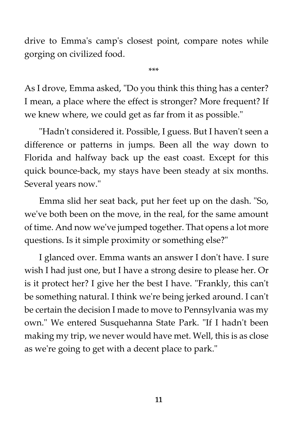drive to Emma's camp's closest point, compare notes while gorging on civilized food.

\*\*\*

As I drove, Emma asked, "Do you think this thing has a center? I mean, a place where the effect is stronger? More frequent? If we knew where, we could get as far from it as possible."

"Hadn't considered it. Possible, I guess. But I haven't seen a difference or patterns in jumps. Been all the way down to Florida and halfway back up the east coast. Except for this quick bounce-back, my stays have been steady at six months. Several years now."

Emma slid her seat back, put her feet up on the dash. "So, we've both been on the move, in the real, for the same amount of time. And now we've jumped together. That opens a lot more questions. Is it simple proximity or something else?"

I glanced over. Emma wants an answer I don't have. I sure wish I had just one, but I have a strong desire to please her. Or is it protect her? I give her the best I have. "Frankly, this can't be something natural. I think we're being jerked around. I can't be certain the decision I made to move to Pennsylvania was my own." We entered Susquehanna State Park. "If I hadn't been making my trip, we never would have met. Well, this is as close as we're going to get with a decent place to park."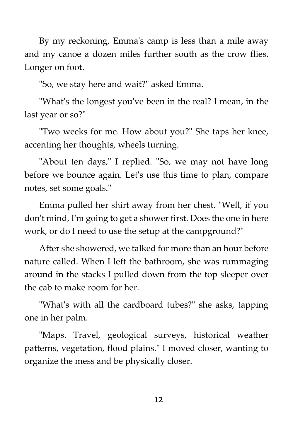By my reckoning, Emma's camp is less than a mile away and my canoe a dozen miles further south as the crow flies. Longer on foot.

"So, we stay here and wait?" asked Emma.

"What's the longest you've been in the real? I mean, in the last year or so?"

"Two weeks for me. How about you?" She taps her knee, accenting her thoughts, wheels turning.

"About ten days," I replied. "So, we may not have long before we bounce again. Let's use this time to plan, compare notes, set some goals."

Emma pulled her shirt away from her chest. "Well, if you don't mind, I'm going to get a shower first. Does the one in here work, or do I need to use the setup at the campground?"

After she showered, we talked for more than an hour before nature called. When I left the bathroom, she was rummaging around in the stacks I pulled down from the top sleeper over the cab to make room for her.

"What's with all the cardboard tubes?" she asks, tapping one in her palm.

"Maps. Travel, geological surveys, historical weather patterns, vegetation, flood plains." I moved closer, wanting to organize the mess and be physically closer.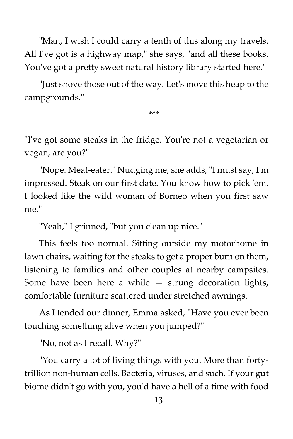"Man, I wish I could carry a tenth of this along my travels. All I've got is a highway map," she says, "and all these books. You've got a pretty sweet natural history library started here."

"Just shove those out of the way. Let's move this heap to the campgrounds."

\*\*\*

"I've got some steaks in the fridge. You're not a vegetarian or vegan, are you?"

"Nope. Meat-eater." Nudging me, she adds, "I must say, I'm impressed. Steak on our first date. You know how to pick 'em. I looked like the wild woman of Borneo when you first saw me."

"Yeah," I grinned, "but you clean up nice."

This feels too normal. Sitting outside my motorhome in lawn chairs, waiting for the steaks to get a proper burn on them, listening to families and other couples at nearby campsites. Some have been here a while  $-$  strung decoration lights, comfortable furniture scattered under stretched awnings.

As I tended our dinner, Emma asked, "Have you ever been touching something alive when you jumped?"

"No, not as I recall. Why?"

"You carry a lot of living things with you. More than fortytrillion non-human cells. Bacteria, viruses, and such. If your gut biome didn't go with you, you'd have a hell of a time with food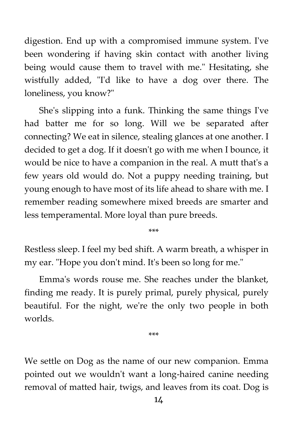digestion. End up with a compromised immune system. I've been wondering if having skin contact with another living being would cause them to travel with me." Hesitating, she wistfully added, "I'd like to have a dog over there. The loneliness, you know?"

She's slipping into a funk. Thinking the same things I've had batter me for so long. Will we be separated after connecting? We eat in silence, stealing glances at one another. I decided to get a dog. If it doesn't go with me when I bounce, it would be nice to have a companion in the real. A mutt that's a few years old would do. Not a puppy needing training, but young enough to have most of its life ahead to share with me. I remember reading somewhere mixed breeds are smarter and less temperamental. More loyal than pure breeds.

\*\*\*

Restless sleep. I feel my bed shift. A warm breath, a whisper in my ear. "Hope you don't mind. It's been so long for me."

Emma's words rouse me. She reaches under the blanket, finding me ready. It is purely primal, purely physical, purely beautiful. For the night, we're the only two people in both worlds.

\*\*\*

We settle on Dog as the name of our new companion. Emma pointed out we wouldn't want a long-haired canine needing removal of matted hair, twigs, and leaves from its coat. Dog is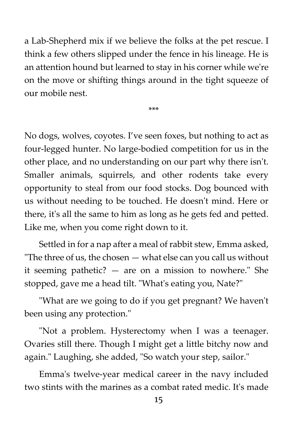a Lab-Shepherd mix if we believe the folks at the pet rescue. I think a few others slipped under the fence in his lineage. He is an attention hound but learned to stay in his corner while we're on the move or shifting things around in the tight squeeze of our mobile nest.

\*\*\*

No dogs, wolves, coyotes. I've seen foxes, but nothing to act as four-legged hunter. No large-bodied competition for us in the other place, and no understanding on our part why there isn't. Smaller animals, squirrels, and other rodents take every opportunity to steal from our food stocks. Dog bounced with us without needing to be touched. He doesn't mind. Here or there, it's all the same to him as long as he gets fed and petted. Like me, when you come right down to it.

Settled in for a nap after a meal of rabbit stew, Emma asked, "The three of us, the chosen  $-$  what else can you call us without it seeming pathetic? — are on a mission to nowhere." She stopped, gave me a head tilt. "What's eating you, Nate?"

"What are we going to do if you get pregnant? We haven't been using any protection."

"Not a problem. Hysterectomy when I was a teenager. Ovaries still there. Though I might get a little bitchy now and again." Laughing, she added, "So watch your step, sailor."

Emma's twelve-year medical career in the navy included two stints with the marines as a combat rated medic. It's made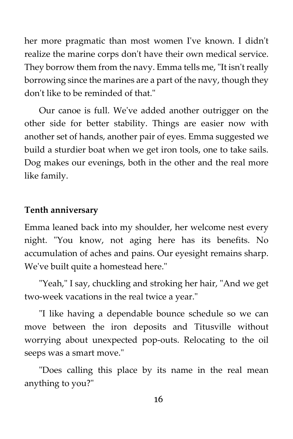her more pragmatic than most women I've known. I didn't realize the marine corps don't have their own medical service. They borrow them from the navy. Emma tells me, "It isn't really borrowing since the marines are a part of the navy, though they don't like to be reminded of that."

Our canoe is full. We've added another outrigger on the other side for better stability. Things are easier now with another set of hands, another pair of eyes. Emma suggested we build a sturdier boat when we get iron tools, one to take sails. Dog makes our evenings, both in the other and the real more like family.

## **Tenth anniversary**

Emma leaned back into my shoulder, her welcome nest every night. "You know, not aging here has its benefits. No accumulation of aches and pains. Our eyesight remains sharp. We've built quite a homestead here."

"Yeah," I say, chuckling and stroking her hair, "And we get two-week vacations in the real twice a year."

"I like having a dependable bounce schedule so we can move between the iron deposits and Titusville without worrying about unexpected pop-outs. Relocating to the oil seeps was a smart move."

"Does calling this place by its name in the real mean anything to you?"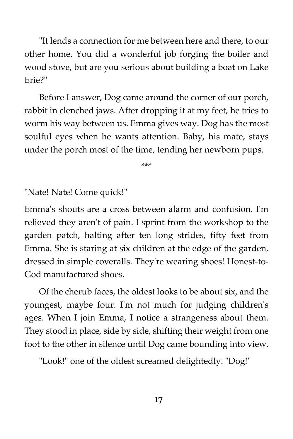"It lends a connection for me between here and there, to our other home. You did a wonderful job forging the boiler and wood stove, but are you serious about building a boat on Lake Erie?"

Before I answer, Dog came around the corner of our porch, rabbit in clenched jaws. After dropping it at my feet, he tries to worm his way between us. Emma gives way. Dog has the most soulful eyes when he wants attention. Baby, his mate, stays under the porch most of the time, tending her newborn pups.

\*\*\*

"Nate! Nate! Come quick!"

Emma's shouts are a cross between alarm and confusion. I'm relieved they aren't of pain. I sprint from the workshop to the garden patch, halting after ten long strides, fifty feet from Emma. She is staring at six children at the edge of the garden, dressed in simple coveralls. They're wearing shoes! Honest-to-God manufactured shoes.

Of the cherub faces, the oldest looks to be about six, and the youngest, maybe four. I'm not much for judging children's ages. When I join Emma, I notice a strangeness about them. They stood in place, side by side, shifting their weight from one foot to the other in silence until Dog came bounding into view.

"Look!" one of the oldest screamed delightedly. "Dog!"